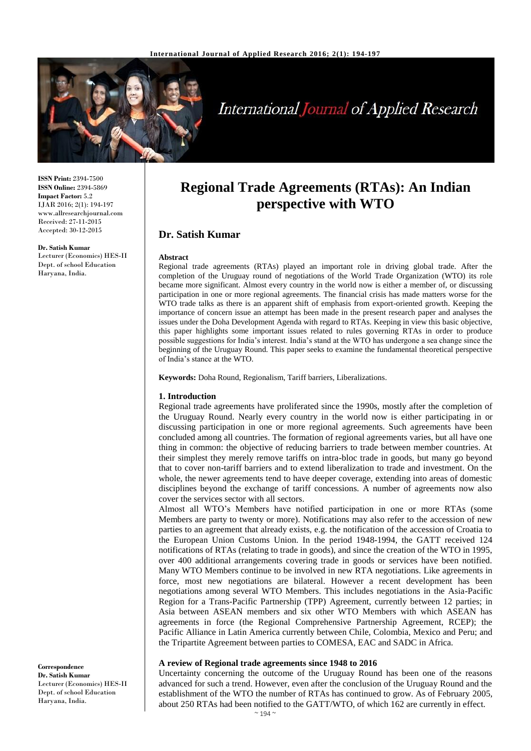

# **International Journal of Applied Research**

**ISSN Print:** 2394-7500 **ISSN Online:** 2394-5869 **Impact Factor:** 5.2 IJAR 2016; 2(1): 194-197 www.allresearchjournal.com Received: 27-11-2015 Accepted: 30-12-2015

**Dr. Satish Kumar**

Lecturer (Economics) HES-II Dept. of school Education Haryana, India.

## **Regional Trade Agreements (RTAs): An Indian perspective with WTO**

## **Dr. Satish Kumar**

#### **Abstract**

Regional trade agreements (RTAs) played an important role in driving global trade. After the completion of the Uruguay round of negotiations of the World Trade Organization (WTO) its role became more significant. Almost every country in the world now is either a member of, or discussing participation in one or more regional agreements. The financial crisis has made matters worse for the WTO trade talks as there is an apparent shift of emphasis from export-oriented growth. Keeping the importance of concern issue an attempt has been made in the present research paper and analyses the issues under the Doha Development Agenda with regard to RTAs. Keeping in view this basic objective, this paper highlights some important issues related to rules governing RTAs in order to produce possible suggestions for India's interest. India's stand at the WTO has undergone a sea change since the beginning of the Uruguay Round. This paper seeks to examine the fundamental theoretical perspective of India's stance at the WTO.

**Keywords:** Doha Round, Regionalism, Tariff barriers, Liberalizations.

#### **1. Introduction**

Regional trade agreements have proliferated since the 1990s, mostly after the completion of the Uruguay Round. Nearly every country in the world now is either participating in or discussing participation in one or more regional agreements. Such agreements have been concluded among all countries. The formation of regional agreements varies, but all have one thing in common: the objective of reducing barriers to trade between member countries. At their simplest they merely remove tariffs on intra-bloc trade in goods, but many go beyond that to cover non-tariff barriers and to extend liberalization to trade and investment. On the whole, the newer agreements tend to have deeper coverage, extending into areas of domestic disciplines beyond the exchange of tariff concessions. A number of agreements now also cover the services sector with all sectors.

Almost all WTO's Members have notified participation in one or more RTAs (some Members are party to twenty or more). Notifications may also refer to the accession of new parties to an agreement that already exists, e.g. the notification of the accession of Croatia to the European Union Customs Union. In the period 1948-1994, the GATT received 124 notifications of RTAs (relating to trade in goods), and since the creation of the WTO in 1995, over 400 additional arrangements covering trade in goods or services have been notified. Many WTO Members continue to be involved in new RTA negotiations. Like agreements in force, most new negotiations are bilateral. However a recent development has been negotiations among several WTO Members. This includes negotiations in the Asia-Pacific Region for a Trans-Pacific Partnership (TPP) Agreement, currently between 12 parties; in Asia between ASEAN members and six other WTO Members with which ASEAN has agreements in force (the Regional Comprehensive Partnership Agreement, RCEP); the Pacific Alliance in Latin America currently between Chile, Colombia, Mexico and Peru; and the Tripartite Agreement between parties to COMESA, EAC and SADC in Africa.

#### **A review of Regional trade agreements since 1948 to 2016**

Uncertainty concerning the outcome of the Uruguay Round has been one of the reasons advanced for such a trend. However, even after the conclusion of the Uruguay Round and the establishment of the WTO the number of RTAs has continued to grow. As of February 2005, about 250 RTAs had been notified to the GATT/WTO, of which 162 are currently in effect.

**Correspondence Dr. Satish Kumar** Lecturer (Economics) HES-II Dept. of school Education Haryana, India.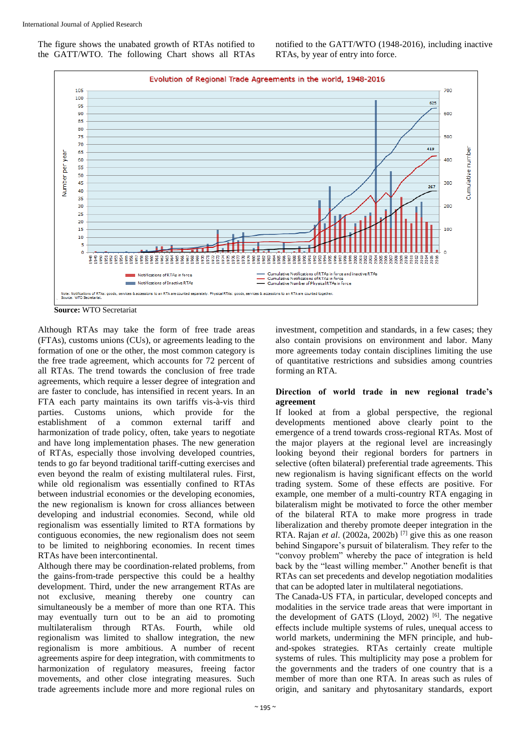The figure shows the unabated growth of RTAs notified to the GATT/WTO. The following Chart shows all RTAs notified to the GATT/WTO (1948-2016), including inactive RTAs, by year of entry into force.



**Source:** WTO Secretariat

Although RTAs may take the form of free trade areas (FTAs), customs unions (CUs), or agreements leading to the formation of one or the other, the most common category is the free trade agreement, which accounts for 72 percent of all RTAs. The trend towards the conclusion of free trade agreements, which require a lesser degree of integration and are faster to conclude, has intensified in recent years. In an FTA each party maintains its own tariffs vis-à-vis third parties. Customs unions, which provide for the establishment of a common external tariff and harmonization of trade policy, often, take years to negotiate and have long implementation phases. The new generation of RTAs, especially those involving developed countries, tends to go far beyond traditional tariff-cutting exercises and even beyond the realm of existing multilateral rules. First, while old regionalism was essentially confined to RTAs between industrial economies or the developing economies, the new regionalism is known for cross alliances between developing and industrial economies. Second, while old regionalism was essentially limited to RTA formations by contiguous economies, the new regionalism does not seem to be limited to neighboring economies. In recent times RTAs have been intercontinental.

Although there may be coordination-related problems, from the gains-from-trade perspective this could be a healthy development. Third, under the new arrangement RTAs are not exclusive, meaning thereby one country can simultaneously be a member of more than one RTA. This may eventually turn out to be an aid to promoting multilateralism through RTAs. Fourth, while old regionalism was limited to shallow integration, the new regionalism is more ambitious. A number of recent agreements aspire for deep integration, with commitments to harmonization of regulatory measures, freeing factor movements, and other close integrating measures. Such trade agreements include more and more regional rules on

investment, competition and standards, in a few cases; they also contain provisions on environment and labor. Many more agreements today contain disciplines limiting the use of quantitative restrictions and subsidies among countries forming an RTA.

#### **Direction of world trade in new regional trade's agreement**

If looked at from a global perspective, the regional developments mentioned above clearly point to the emergence of a trend towards cross-regional RTAs. Most of the major players at the regional level are increasingly looking beyond their regional borders for partners in selective (often bilateral) preferential trade agreements. This new regionalism is having significant effects on the world trading system. Some of these effects are positive. For example, one member of a multi-country RTA engaging in bilateralism might be motivated to force the other member of the bilateral RTA to make more progress in trade liberalization and thereby promote deeper integration in the RTA. Rajan *et al*. (2002a, 2002b) [7] give this as one reason behind Singapore's pursuit of bilateralism. They refer to the "convoy problem" whereby the pace of integration is held back by the "least willing member." Another benefit is that RTAs can set precedents and develop negotiation modalities that can be adopted later in multilateral negotiations.

The Canada-US FTA, in particular, developed concepts and modalities in the service trade areas that were important in the development of GATS (Lloyd, 2002) [6]. The negative effects include multiple systems of rules, unequal access to world markets, undermining the MFN principle, and huband-spokes strategies. RTAs certainly create multiple systems of rules. This multiplicity may pose a problem for the governments and the traders of one country that is a member of more than one RTA. In areas such as rules of origin, and sanitary and phytosanitary standards, export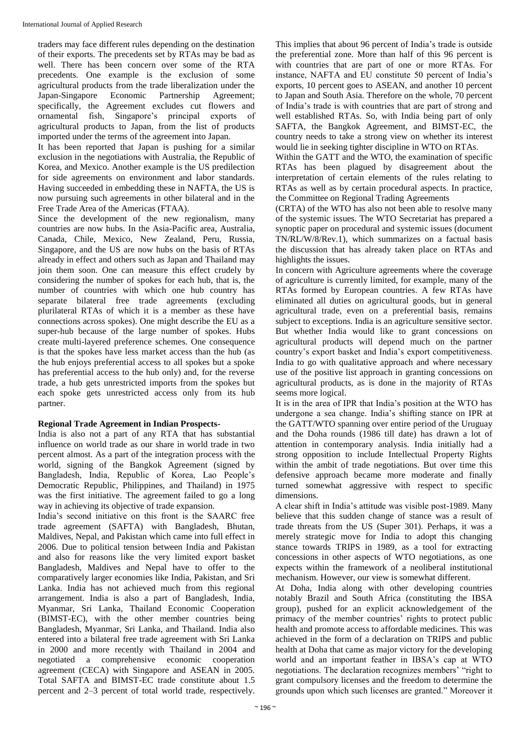traders may face different rules depending on the destination of their exports. The precedents set by RTAs may be bad as well. There has been concern over some of the RTA precedents. One example is the exclusion of some agricultural products from the trade liberalization under the Japan-Singapore Economic Partnership Agreement; specifically, the Agreement excludes cut flowers and ornamental fish, Singapore's principal exports of agricultural products to Japan, from the list of products imported under the terms of the agreement into Japan.

It has been reported that Japan is pushing for a similar exclusion in the negotiations with Australia, the Republic of Korea, and Mexico. Another example is the US predilection for side agreements on environment and labor standards. Having succeeded in embedding these in NAFTA, the US is now pursuing such agreements in other bilateral and in the Free Trade Area of the Americas (FTAA).

Since the development of the new regionalism, many countries are now hubs. In the Asia-Pacific area, Australia, Canada, Chile, Mexico, New Zealand, Peru, Russia, Singapore, and the US are now hubs on the basis of RTAs already in effect and others such as Japan and Thailand may join them soon. One can measure this effect crudely by considering the number of spokes for each hub, that is, the number of countries with which one hub country has separate bilateral free trade agreements (excluding plurilateral RTAs of which it is a member as these have connections across spokes). One might describe the EU as a super-hub because of the large number of spokes. Hubs create multi-layered preference schemes. One consequence is that the spokes have less market access than the hub (as the hub enjoys preferential access to all spokes but a spoke has preferential access to the hub only) and, for the reverse trade, a hub gets unrestricted imports from the spokes but each spoke gets unrestricted access only from its hub partner.

## **Regional Trade Agreement in Indian Prospects-**

India is also not a part of any RTA that has substantial influence on world trade as our share in world trade in two percent almost. As a part of the integration process with the world, signing of the Bangkok Agreement (signed by Bangladesh, India, Republic of Korea, Lao People's Democratic Republic, Philippines, and Thailand) in 1975 was the first initiative. The agreement failed to go a long way in achieving its objective of trade expansion.

India's second initiative on this front is the SAARC free trade agreement (SAFTA) with Bangladesh, Bhutan, Maldives, Nepal, and Pakistan which came into full effect in 2006. Due to political tension between India and Pakistan and also for reasons like the very limited export basket Bangladesh, Maldives and Nepal have to offer to the comparatively larger economies like India, Pakistan, and Sri Lanka. India has not achieved much from this regional arrangement. India is also a part of Bangladesh, India, Myanmar, Sri Lanka, Thailand Economic Cooperation (BIMST-EC), with the other member countries being Bangladesh, Myanmar, Sri Lanka, and Thailand. India also entered into a bilateral free trade agreement with Sri Lanka in 2000 and more recently with Thailand in 2004 and negotiated a comprehensive economic cooperation agreement (CECA) with Singapore and ASEAN in 2005. Total SAFTA and BIMST-EC trade constitute about 1.5 percent and 2–3 percent of total world trade, respectively.

This implies that about 96 percent of India's trade is outside the preferential zone. More than half of this 96 percent is with countries that are part of one or more RTAs. For instance, NAFTA and EU constitute 50 percent of India's exports, 10 percent goes to ASEAN, and another 10 percent to Japan and South Asia. Therefore on the whole, 70 percent of India's trade is with countries that are part of strong and well established RTAs. So, with India being part of only SAFTA, the Bangkok Agreement, and BIMST-EC, the country needs to take a strong view on whether its interest would lie in seeking tighter discipline in WTO on RTAs.

Within the GATT and the WTO, the examination of specific RTAs has been plagued by disagreement about the interpretation of certain elements of the rules relating to RTAs as well as by certain procedural aspects. In practice, the Committee on Regional Trading Agreements

(CRTA) of the WTO has also not been able to resolve many of the systemic issues. The WTO Secretariat has prepared a synoptic paper on procedural and systemic issues (document TN/RL/W/8/Rev.1), which summarizes on a factual basis the discussion that has already taken place on RTAs and highlights the issues.

In concern with Agriculture agreements where the coverage of agriculture is currently limited, for example, many of the RTAs formed by European countries. A few RTAs have eliminated all duties on agricultural goods, but in general agricultural trade, even on a preferential basis, remains subject to exceptions. India is an agriculture sensitive sector. But whether India would like to grant concessions on agricultural products will depend much on the partner country's export basket and India's export competitiveness. India to go with qualitative approach and where necessary use of the positive list approach in granting concessions on agricultural products, as is done in the majority of RTAs seems more logical.

It is in the area of IPR that India's position at the WTO has undergone a sea change. India's shifting stance on IPR at the GATT/WTO spanning over entire period of the Uruguay and the Doha rounds (1986 till date) has drawn a lot of attention in contemporary analysis. India initially had a strong opposition to include Intellectual Property Rights within the ambit of trade negotiations. But over time this defensive approach became more moderate and finally turned somewhat aggressive with respect to specific dimensions.

A clear shift in India's attitude was visible post-1989. Many believe that this sudden change of stance was a result of trade threats from the US (Super 301). Perhaps, it was a merely strategic move for India to adopt this changing stance towards TRIPS in 1989, as a tool for extracting concessions in other aspects of WTO negotiations, as one expects within the framework of a neoliberal institutional mechanism. However, our view is somewhat different.

At Doha, India along with other developing countries notably Brazil and South Africa (constituting the IBSA group), pushed for an explicit acknowledgement of the primacy of the member countries' rights to protect public health and promote access to affordable medicines. This was achieved in the form of a declaration on TRIPS and public health at Doha that came as major victory for the developing world and an important feather in IBSA's cap at WTO negotiations. The declaration recognizes members' "right to grant compulsory licenses and the freedom to determine the grounds upon which such licenses are granted." Moreover it